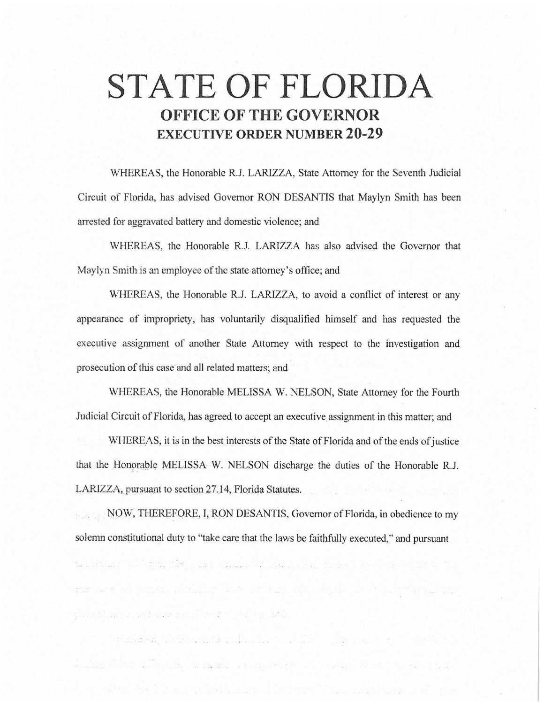# **STATE OF FLORIDA OFFICE OF THE GOVERNOR EXECUTIVE ORDER NUMBER 20-29**

WHEREAS, the Honorable R.J. LARIZZA, State Attorney for the Seventh Judicial Circuit of Florida, has advised Governor RON DESANTIS that Maylyn Smith has been arrested for aggravated battery and domestic violence; and

\VHEREAS, the Honorable R.J. LARIZZA has also advised the Governor that Maylyn Smith is an employee of the state attorney's office; and

WHEREAS, the Honorable R.J. LARIZZA, to avoid a conflict of interest or any appearance of impropriety, has voluntarily disqualified himself and has requested the executive assignment of another State Attorney with respect to the investigation and prosecution of this case and all related matters; and

WHEREAS, the Honorable MELISSA W. NELSON, State Attorney for the Fourth Judicial Circuit of Florida, has agreed to accept an executive assignment in this matter; and

WHEREAS, it is in the best interests of the State of Florida and of the ends of justice that the Honorable MELISSA W. NELSON discharge the duties of the Honorable R.J. LARIZZA, pursuant to section 27.14, Florida Statutes.

NOW, THEREFORE, I, RON DESANTIS, Governor of Florida, in obedience to my solemn constitutional duty to "take care that the laws be faithfully executed," and pursuant

re kapa per pada pada tahun 1976. Bagi di sebagai kalendar Pada Se

க படம்பட்டும்.<br>இதனையில் பிரிவியான பெரியின் கொண்டும் பிரிவியான பிரிவியான பிரிவியான பெரியின் பிரிவியான பெரியின் பிரிவியான பெரிய

and a fact the company of the company of the company of the company of the company of the company of the company

to the second companion of a second companion of the contract of the contract of the contract of the contract of

profile of attack to the fit of the state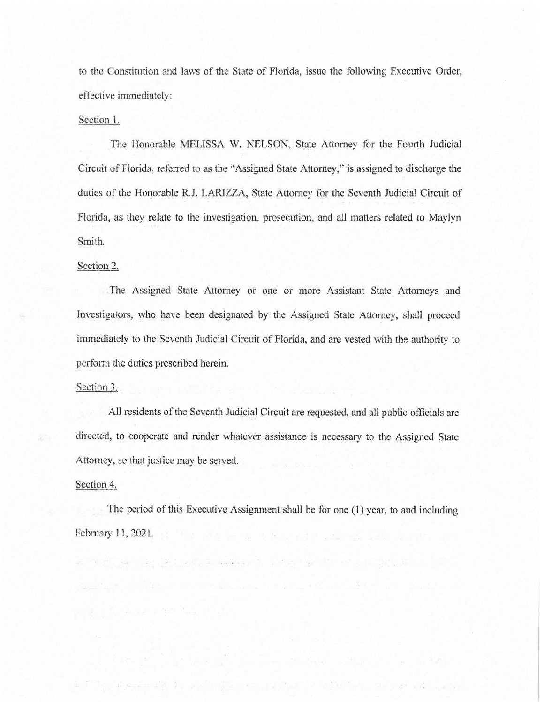to the Constitution and laws of the State of Florida, issue the following Executive Order, effective immediately:

#### Section 1.

The Honorable MELISSA W. NELSON, State Attorney for the Fourth Judicial Circuit of Florida, referred to as the "Assigned State Attorney," is assigned to discharge the duties of the Honorable R.J. LARIZZA, State Attorney for the Seventh Judicial Circuit of Florida, as they relate to the investigation, prosecution, and all matters related to Maylyn Smith.

### Section 2.

The Assigned State Attorney or one or more Assistant State Attorneys and Investigators, who have been designated by the Assigned State Attorney, shall proceed immediately to the Seventh Judicial Circuit of Florida, and are vested with the authority to perform the duties prescribed herein.

## Section 3.

All residents of the Seventh Judicial Circuit are requested, and all public officials are directed, to cooperate and render whatever assistance is necessary to the Assigned State Attorney, so that justice may be served.

### Section 4.

The period of this Executive Assignment shall be for one (I) year, to and including February 11, 2021. The contract of the contract of the contract of the contract of the contract of the contract of the contract of the contract of the contract of the contract of the contract of the contract of the contrac

a in the second control of the second control of the second control of the second second control of the second

r 1915, April 2011 i Syldwig Constant Activity of Maria Andre